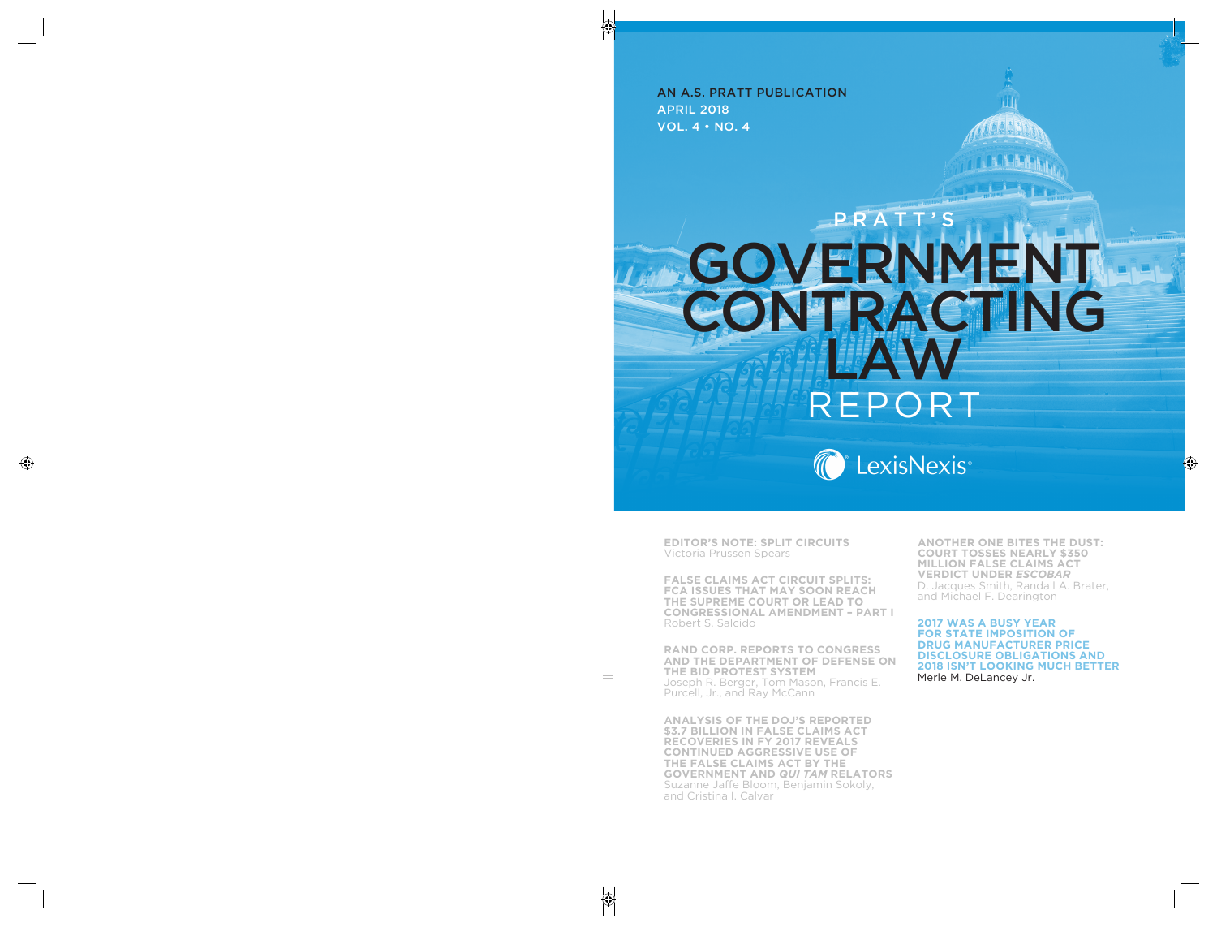AN A.S. PRATT PUBLICATION APRIL 2018 VOL. 4 • NO. 4

# GOVERNMENT CONTRACTING LAW RFPORT PRATT



**EDITOR'S NOTE: SPLIT CIRCUITS** Victoria Prussen Spears

**FALSE CLAIMS ACT CIRCUIT SPLITS: FCA ISSUES THAT MAY SOON REACH THE SUPREME COURT OR LEAD TO CONGRESSIONAL AMENDMENT – PART I** Robert S. Salcido

**RAND CORP. REPORTS TO CONGRESS AND THE DEPARTMENT OF DEFENSE ON THE BID PROTEST SYSTEM** Joseph R. Berger, Tom Mason, Francis E. Purcell, Jr., and Ray McCann

**ANALYSIS OF THE DOJ'S REPORTED \$3.7 BILLION IN FALSE CLAIMS ACT RECOVERIES IN FY 2017 REVEALS CONTINUED AGGRESSIVE USE OF THE FALSE CLAIMS ACT BY THE GOVERNMENT AND** *QUI TAM* **RELATORS** Suzanne Jaffe Bloom, Benjamin Sokoly, and Cristina I. Calvar

**ANOTHER ONE BITES THE DUST: COURT TOSSES NEARLY \$350 MILLION FALSE CLAIMS ACT VERDICT UNDER** *ESCOBAR* D. Jacques Smith, Randall A. Brater, and Michael F. Dearington

**2017 WAS A BUSY YEAR FOR STATE IMPOSITION OF DRUG MANUFACTURER PRICE DISCLOSURE OBLIGATIONS AND 2018 ISN'T LOOKING MUCH BETTER** Merle M. DeLancey Jr.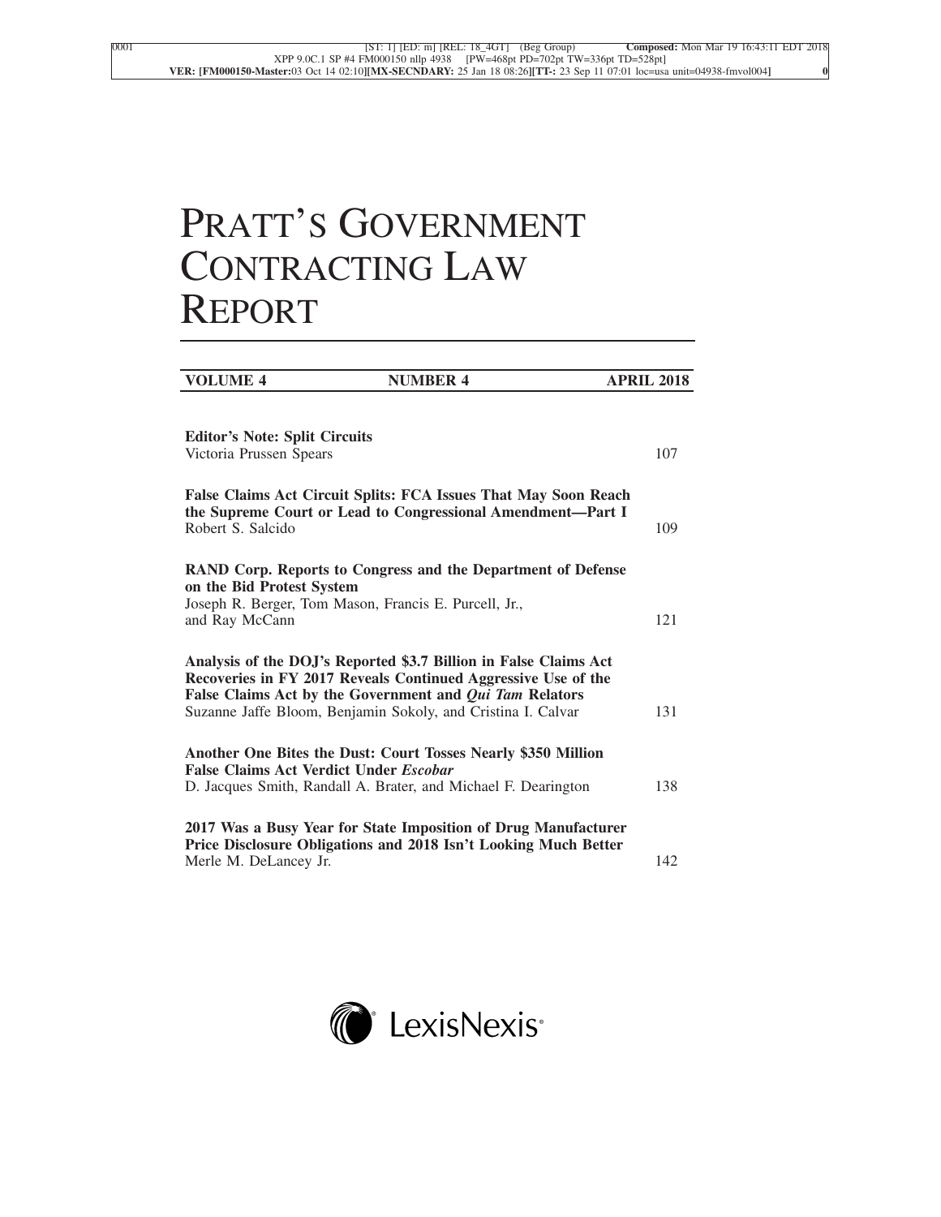## PRATT'S GOVERNMENT CONTRACTING LAW REPORT

| <b>VOLUME 4</b>                                                                                      | <b>NUMBER 4</b>                                                                                                                                                                                                                                              | <b>APRIL 2018</b> |
|------------------------------------------------------------------------------------------------------|--------------------------------------------------------------------------------------------------------------------------------------------------------------------------------------------------------------------------------------------------------------|-------------------|
| <b>Editor's Note: Split Circuits</b>                                                                 |                                                                                                                                                                                                                                                              |                   |
| Victoria Prussen Spears                                                                              |                                                                                                                                                                                                                                                              | 107               |
| Robert S. Salcido                                                                                    | False Claims Act Circuit Splits: FCA Issues That May Soon Reach<br>the Supreme Court or Lead to Congressional Amendment-Part I                                                                                                                               | 109               |
| on the Bid Protest System<br>Joseph R. Berger, Tom Mason, Francis E. Purcell, Jr.,<br>and Ray McCann | RAND Corp. Reports to Congress and the Department of Defense                                                                                                                                                                                                 | 121               |
|                                                                                                      | Analysis of the DOJ's Reported \$3.7 Billion in False Claims Act<br>Recoveries in FY 2017 Reveals Continued Aggressive Use of the<br>False Claims Act by the Government and Qui Tam Relators<br>Suzanne Jaffe Bloom, Benjamin Sokoly, and Cristina I. Calvar | 131               |
| <b>False Claims Act Verdict Under Escobar</b>                                                        | Another One Bites the Dust: Court Tosses Nearly \$350 Million<br>D. Jacques Smith, Randall A. Brater, and Michael F. Dearington                                                                                                                              | 138               |
| Merle M. DeLancey Jr.                                                                                | 2017 Was a Busy Year for State Imposition of Drug Manufacturer<br>Price Disclosure Obligations and 2018 Isn't Looking Much Better                                                                                                                            | 142               |
|                                                                                                      |                                                                                                                                                                                                                                                              |                   |

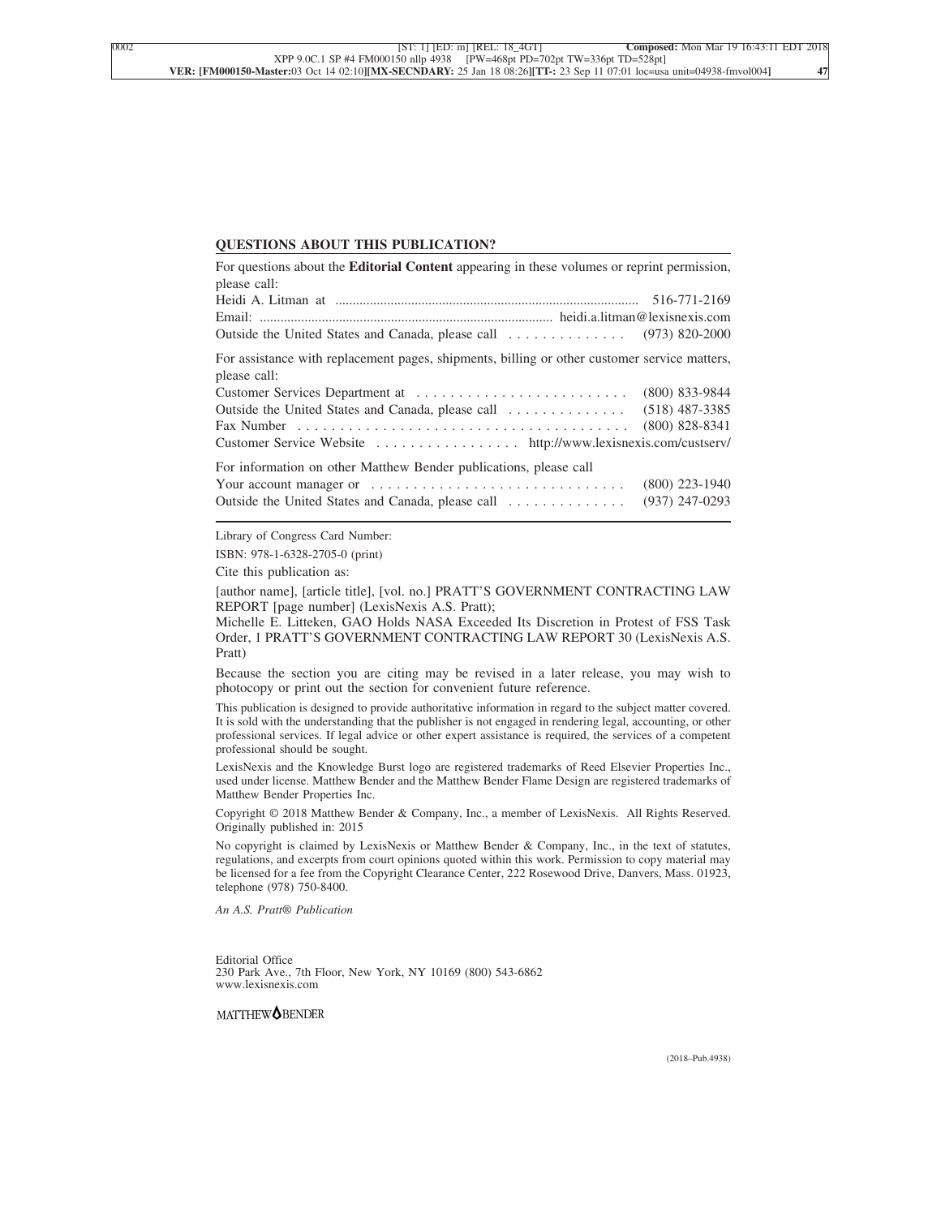### **QUESTIONS ABOUT THIS PUBLICATION?**

| For questions about the <b>Editorial Content</b> appearing in these volumes or reprint permission, |                  |
|----------------------------------------------------------------------------------------------------|------------------|
| please call:                                                                                       |                  |
|                                                                                                    |                  |
|                                                                                                    |                  |
|                                                                                                    |                  |
| For assistance with replacement pages, shipments, billing or other customer service matters,       |                  |
| please call:                                                                                       |                  |
|                                                                                                    | $(800)$ 833-9844 |
|                                                                                                    |                  |
|                                                                                                    | $(800)$ 828-8341 |
| Customer Service Website http://www.lexisnexis.com/custserv/                                       |                  |
| For information on other Matthew Bender publications, please call                                  |                  |
| Your account manager or $\dots\dots\dots\dots\dots\dots\dots\dots\dots\dots\dots\dots$             | $(800)$ 223-1940 |
| Outside the United States and Canada, please call                                                  | $(937)$ 247-0293 |

Library of Congress Card Number:

ISBN: 978-1-6328-2705-0 (print)

Cite this publication as:

[author name], [article title], [vol. no.] PRATT'S GOVERNMENT CONTRACTING LAW REPORT [page number] (LexisNexis A.S. Pratt);

Michelle E. Litteken, GAO Holds NASA Exceeded Its Discretion in Protest of FSS Task Order, 1 PRATT'S GOVERNMENT CONTRACTING LAW REPORT 30 (LexisNexis A.S. Pratt)

Because the section you are citing may be revised in a later release, you may wish to photocopy or print out the section for convenient future reference.

This publication is designed to provide authoritative information in regard to the subject matter covered. It is sold with the understanding that the publisher is not engaged in rendering legal, accounting, or other professional services. If legal advice or other expert assistance is required, the services of a competent professional should be sought.

LexisNexis and the Knowledge Burst logo are registered trademarks of Reed Elsevier Properties Inc., used under license. Matthew Bender and the Matthew Bender Flame Design are registered trademarks of Matthew Bender Properties Inc.

Copyright © 2018 Matthew Bender & Company, Inc., a member of LexisNexis. All Rights Reserved. Originally published in: 2015

No copyright is claimed by LexisNexis or Matthew Bender & Company, Inc., in the text of statutes, regulations, and excerpts from court opinions quoted within this work. Permission to copy material may be licensed for a fee from the Copyright Clearance Center, 222 Rosewood Drive, Danvers, Mass. 01923, telephone (978) 750-8400.

*An A.S. Pratt® Publication*

Editorial Office 230 Park Ave., 7th Floor, New York, NY 10169 (800) 543-6862 www.lexisnexis.com

MATTHEW<sup>OBENDER</sup>

(2018–Pub.4938)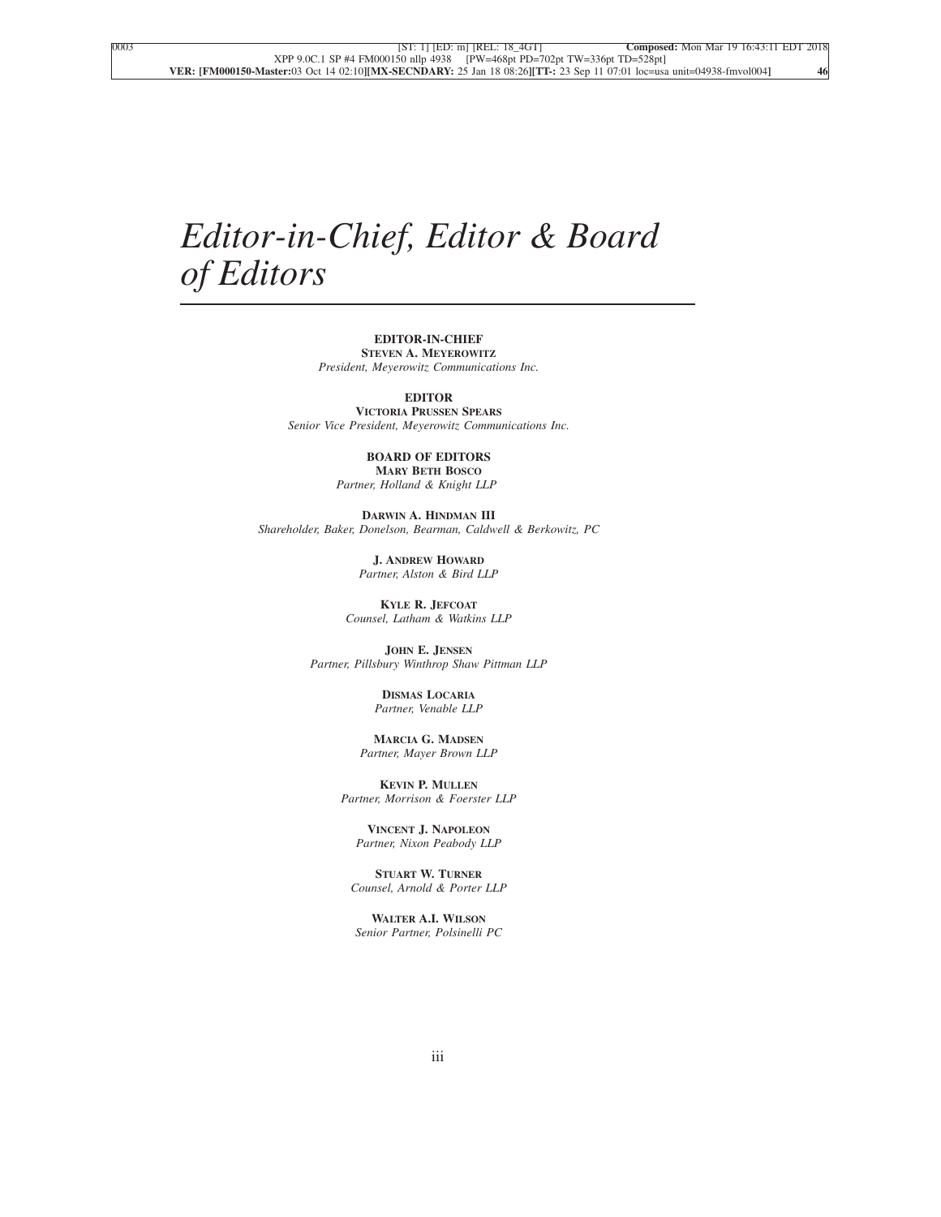## *Editor-in-Chief, Editor & Board of Editors*

## **EDITOR-IN-CHIEF STEVEN A. MEYEROWITZ**

*President, Meyerowitz Communications Inc.*

**EDITOR**

**VICTORIA PRUSSEN SPEARS** *Senior Vice President, Meyerowitz Communications Inc.*

#### **BOARD OF EDITORS MARY BETH BOSCO**

*Partner, Holland & Knight LLP*

**DARWIN A. HINDMAN III** *Shareholder, Baker, Donelson, Bearman, Caldwell & Berkowitz, PC*

> **J. ANDREW HOWARD** *Partner, Alston & Bird LLP*

**KYLE R. JEFCOAT** *Counsel, Latham & Watkins LLP*

**JOHN E. JENSEN** *Partner, Pillsbury Winthrop Shaw Pittman LLP*

> **DISMAS LOCARIA** *Partner, Venable LLP*

**MARCIA G. MADSEN** *Partner, Mayer Brown LLP*

**KEVIN P. MULLEN** *Partner, Morrison & Foerster LLP*

**VINCENT J. NAPOLEON** *Partner, Nixon Peabody LLP*

**STUART W. TURNER** *Counsel, Arnold & Porter LLP*

**WALTER A.I. WILSON** *Senior Partner, Polsinelli PC*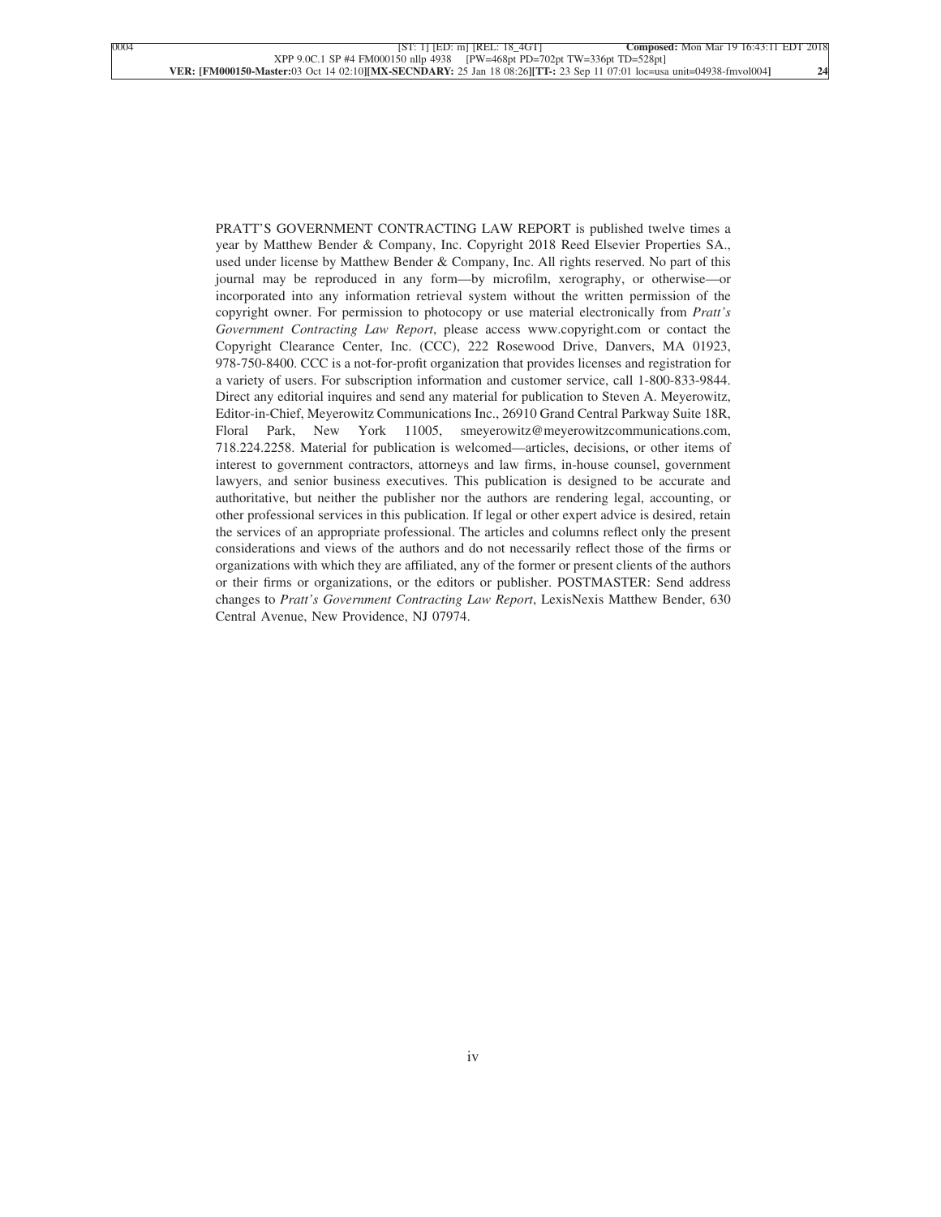PRATT'S GOVERNMENT CONTRACTING LAW REPORT is published twelve times a year by Matthew Bender & Company, Inc. Copyright 2018 Reed Elsevier Properties SA., used under license by Matthew Bender & Company, Inc. All rights reserved. No part of this journal may be reproduced in any form—by microfilm, xerography, or otherwise—or incorporated into any information retrieval system without the written permission of the copyright owner. For permission to photocopy or use material electronically from *Pratt's Government Contracting Law Report*, please access www.copyright.com or contact the Copyright Clearance Center, Inc. (CCC), 222 Rosewood Drive, Danvers, MA 01923, 978-750-8400. CCC is a not-for-profit organization that provides licenses and registration for a variety of users. For subscription information and customer service, call 1-800-833-9844. Direct any editorial inquires and send any material for publication to Steven A. Meyerowitz, Editor-in-Chief, Meyerowitz Communications Inc., 26910 Grand Central Parkway Suite 18R, Floral Park, New York 11005, smeyerowitz@meyerowitzcommunications.com, 718.224.2258. Material for publication is welcomed—articles, decisions, or other items of interest to government contractors, attorneys and law firms, in-house counsel, government lawyers, and senior business executives. This publication is designed to be accurate and authoritative, but neither the publisher nor the authors are rendering legal, accounting, or other professional services in this publication. If legal or other expert advice is desired, retain the services of an appropriate professional. The articles and columns reflect only the present considerations and views of the authors and do not necessarily reflect those of the firms or organizations with which they are affiliated, any of the former or present clients of the authors or their firms or organizations, or the editors or publisher. POSTMASTER: Send address changes to *Pratt's Government Contracting Law Report*, LexisNexis Matthew Bender, 630 Central Avenue, New Providence, NJ 07974.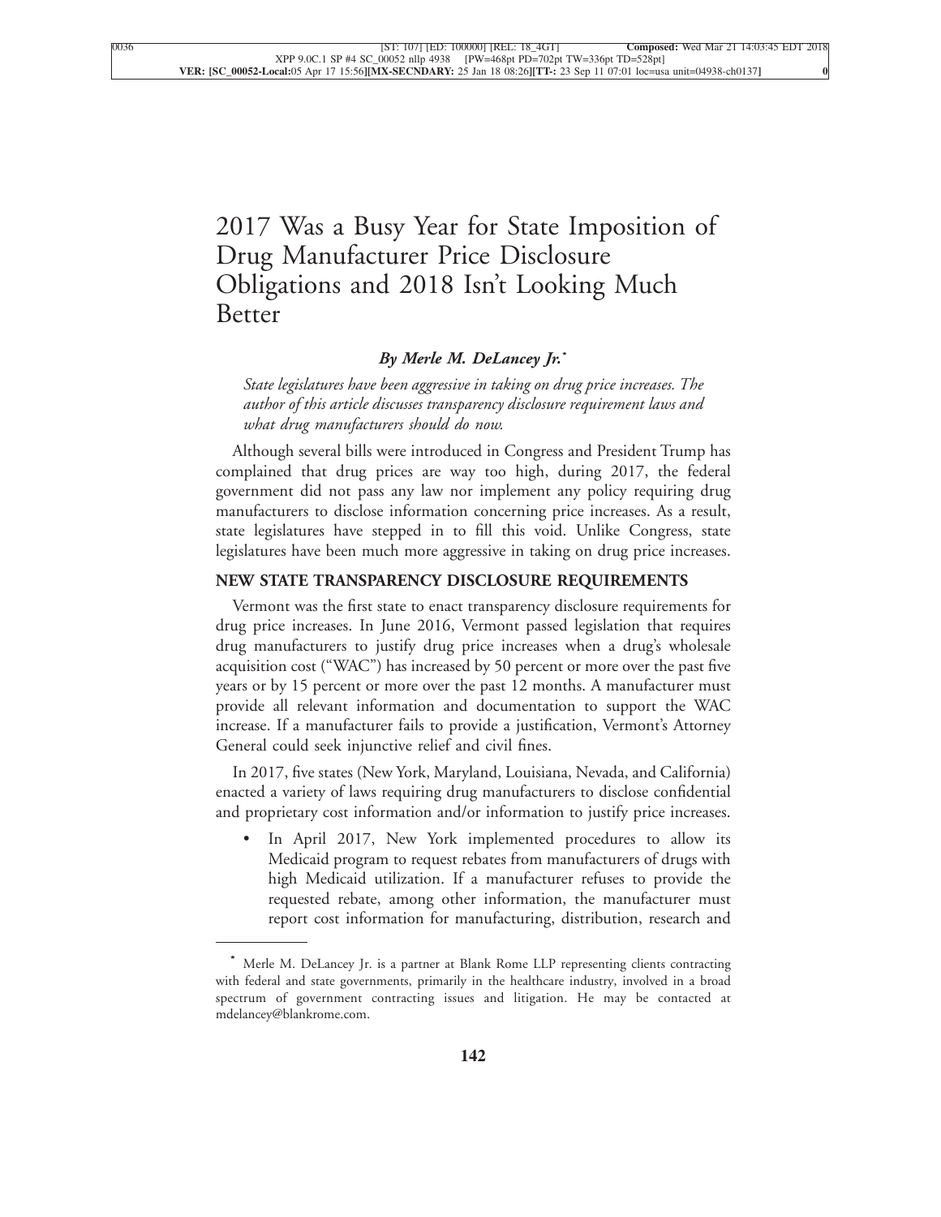## [2017 Was a Busy Year for State Imposition of](xpath-> core:title,  tr:secmain/core:title,  desig_title,  style_01) [Drug Manufacturer Price Disclosure](xpath-> core:title,  tr:secmain/core:title,  desig_title,  style_01) [Obligations and 2018 Isn't Looking Much](xpath-> core:title,  tr:secmain/core:title,  desig_title,  style_01) [Better](xpath-> core:title,  tr:secmain/core:title,  desig_title,  style_01)

## *[By Merle M. DeLancey Jr.](xpath-> core:byline,  core:byline,  byline,  style_01)***\***

*[State legislatures have been aggressive in taking on drug price increases. The](xpath-> core:blockquote-para,  Default,  blockquote,  style_02) [author of this article discusses transparency disclosure requirement laws and](xpath-> core:blockquote-para,  Default,  blockquote,  style_02) [what drug manufacturers should do now.](xpath-> core:blockquote-para,  Default,  blockquote,  style_02)*

[Although several bills were introduced in Congress and President Trump has](xpath-> core:para,  Default,  para-list,  style_01) [complained that drug prices are way too high, during 2017, the federal](xpath-> core:para,  Default,  para-list,  style_01) [government did not pass any law nor implement any policy requiring drug](xpath-> core:para,  Default,  para-list,  style_01) [manufacturers to disclose information concerning price increases. As a result,](xpath-> core:para,  Default,  para-list,  style_01) [state legislatures have stepped in to fill this void. Unlike Congress, state](xpath-> core:para,  Default,  para-list,  style_01) [legislatures have been much more aggressive in taking on drug price increases.](xpath-> core:para,  Default,  para-list,  style_01)

## **[NEW STATE TRANSPARENCY DISCLOSURE REQUIREMENTS](xpath-> core:generic-hd,  Default,  core_generic_hd,  style_01)**

[Vermont was the first state to enact transparency disclosure requirements for](xpath-> core:para,  Default,  para-list,  style_01) [drug price increases. In June 2016, Vermont passed legislation that requires](xpath-> core:para,  Default,  para-list,  style_01) [drug manufacturers to justify drug price increases when a drug's wholesale](xpath-> core:para,  Default,  para-list,  style_01) [acquisition cost \("WAC"\) has increased by 50 percent or more over the past five](xpath-> core:para,  Default,  para-list,  style_01) [years or by 15 percent or more over the past 12 months. A manufacturer must](xpath-> core:para,  Default,  para-list,  style_01) [provide all relevant information and documentation to support the WAC](xpath-> core:para,  Default,  para-list,  style_01) [increase. If a manufacturer fails to provide a justification, Vermont's Attorney](xpath-> core:para,  Default,  para-list,  style_01) [General could seek injunctive relief and civil fines.](xpath-> core:para,  Default,  para-list,  style_01)

[In 2017, five states \(New York, Maryland, Louisiana, Nevada, and California\)](xpath-> core:para,  Default,  para-list,  style_01) [enacted a variety of laws requiring drug manufacturers to disclose confidential](xpath-> core:para,  Default,  para-list,  style_01) [and proprietary cost information and/or information to justify price increases.](xpath-> core:para,  Default,  para-list,  style_01)

In April 2017, New York implemented procedures to allow its [Medicaid program to request rebates from manufacturers of drugs with](xpath-> core:para,  core:listitem/core:para,  para-list,  style_01) [high Medicaid utilization. If a manufacturer refuses to provide the](xpath-> core:para,  core:listitem/core:para,  para-list,  style_01) [requested rebate, among other information, the manufacturer must](xpath-> core:para,  core:listitem/core:para,  para-list,  style_01) [report cost information for manufacturing, distribution, research and](xpath-> core:para,  core:listitem/core:para,  para-list,  style_01)

**<sup>\*</sup>** [Merle M. DeLancey Jr. is a partner at Blank Rome LLP representing clients contracting](xpath-> pnfo:bio-para,  fn:bio-footnote/pnfo:bio-para,  byline,  ) [with federal and state governments, primarily in the healthcare industry, involved in a broad](xpath-> pnfo:bio-para,  fn:bio-footnote/pnfo:bio-para,  byline,  ) [spectrum of government contracting issues and litigation. He may be contacted at](xpath-> pnfo:bio-para,  fn:bio-footnote/pnfo:bio-para,  byline,  ) [mdelancey@blankrome.com.](xpath-> pnfo:bio-para,  fn:bio-footnote/pnfo:bio-para,  byline,  )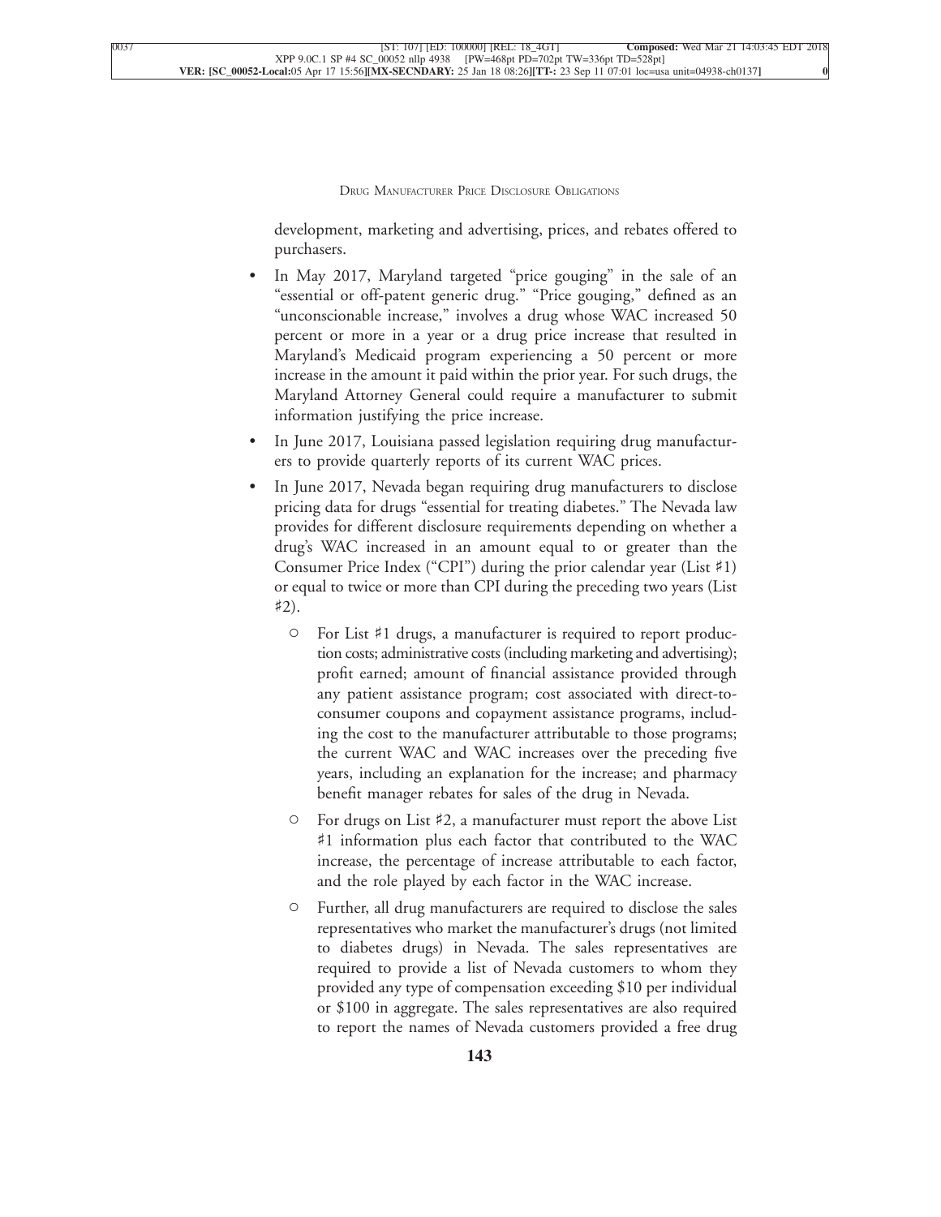development, marketing and advertising, prices, and rebates offered to [purchasers.](xpath-> core:para,  core:listitem/core:para,  para-list,  style_01)

- [•](xpath-> core:enum,  core:listitem/core:enum,  para-list,  style_01) [In May 2017, Maryland targeted "price gouging" in the sale of an](xpath-> core:para,  core:listitem/core:para,  para-list,  style_01) ["essential or off-patent generic drug." "Price gouging," defined as an](xpath-> core:para,  core:listitem/core:para,  para-list,  style_01) ["unconscionable increase," involves a drug whose WAC increased 50](xpath-> core:para,  core:listitem/core:para,  para-list,  style_01) [percent or more in a year or a drug price increase that resulted in](xpath-> core:para,  core:listitem/core:para,  para-list,  style_01) [Maryland's Medicaid program experiencing a 50 percent or more](xpath-> core:para,  core:listitem/core:para,  para-list,  style_01) [increase in the amount it paid within the prior year. For such drugs, the](xpath-> core:para,  core:listitem/core:para,  para-list,  style_01) [Maryland Attorney General could require a manufacturer to submit](xpath-> core:para,  core:listitem/core:para,  para-list,  style_01) [information justifying the price increase.](xpath-> core:para,  core:listitem/core:para,  para-list,  style_01)
- [•](xpath-> core:enum,  core:listitem/core:enum,  para-list,  style_01) [In June 2017, Louisiana passed legislation requiring drug manufactur](xpath-> core:para,  core:listitem/core:para,  para-list,  style_01)[ers to provide quarterly reports of its current WAC prices.](xpath-> core:para,  core:listitem/core:para,  para-list,  style_01)
- In June 2017, Nevada began requiring drug manufacturers to disclose [pricing data for drugs "essential for treating diabetes." The Nevada law](xpath-> core:para,  core:listitem/core:para,  para-list,  style_01) [provides for different disclosure requirements depending on whether a](xpath-> core:para,  core:listitem/core:para,  para-list,  style_01) [drug's WAC increased in an amount equal to or greater than the](xpath-> core:para,  core:listitem/core:para,  para-list,  style_01) [Consumer Price Index \("CPI"\) during the prior calendar year \(List](xpath-> core:para,  core:listitem/core:para,  para-list,  style_01) ♯1) [or equal to twice or more than CPI during the preceding two years \(List](xpath-> core:para,  core:listitem/core:para,  para-list,  style_01)  $\sharp 2)$ .
	- [C](xpath-> core:enum,  core:listitem/core:enum,  para-list,  style_01) For List ♯[1 drugs, a manufacturer is required to report produc](xpath-> core:para,  core:listitem/core:para,  para-list,  style_01)[tion costs; administrative costs \(including marketing and](xpath-> core:para,  core:listitem/core:para,  para-list,  style_01) advertising); [profit earned; amount of financial assistance provided through](xpath-> core:para,  core:listitem/core:para,  para-list,  style_01) [any patient assistance program; cost associated with direct-to](xpath-> core:para,  core:listitem/core:para,  para-list,  style_01)[consumer coupons and copayment assistance programs, includ](xpath-> core:para,  core:listitem/core:para,  para-list,  style_01)[ing the cost to the manufacturer attributable to those programs;](xpath-> core:para,  core:listitem/core:para,  para-list,  style_01) [the current WAC and WAC increases over the preceding five](xpath-> core:para,  core:listitem/core:para,  para-list,  style_01) [years, including an explanation for the increase; and pharmacy](xpath-> core:para,  core:listitem/core:para,  para-list,  style_01) [benefit manager rebates for sales of the drug in Nevada.](xpath-> core:para,  core:listitem/core:para,  para-list,  style_01)
	- [C](xpath-> core:enum,  core:listitem/core:enum,  para-list,  style_01) For drugs on List ♯[2, a manufacturer must report the above List](xpath-> core:para,  core:listitem/core:para,  para-list,  style_01) ♯[1 information plus each factor that contributed to the WAC](xpath-> core:para,  core:listitem/core:para,  para-list,  style_01) [increase, the percentage of increase attributable to each factor,](xpath-> core:para,  core:listitem/core:para,  para-list,  style_01) [and the role played by each factor in the WAC increase.](xpath-> core:para,  core:listitem/core:para,  para-list,  style_01)
	- [C](xpath-> core:enum,  core:listitem/core:enum,  para-list,  style_01) [Further, all drug manufacturers are required to disclose the sales](xpath-> core:para,  core:listitem/core:para,  para-list,  style_01) [representatives who market the manufacturer's drugs \(not limited](xpath-> core:para,  core:listitem/core:para,  para-list,  style_01) [to diabetes drugs\) in Nevada. The sales representatives are](xpath-> core:para,  core:listitem/core:para,  para-list,  style_01) [required to provide a list of Nevada customers to whom they](xpath-> core:para,  core:listitem/core:para,  para-list,  style_01) [provided any type of compensation exceeding \\$10 per individual](xpath-> core:para,  core:listitem/core:para,  para-list,  style_01) [or \\$100 in aggregate. The sales representatives are also required](xpath-> core:para,  core:listitem/core:para,  para-list,  style_01) [to report the names of Nevada customers provided a free drug](xpath-> core:para,  core:listitem/core:para,  para-list,  style_01)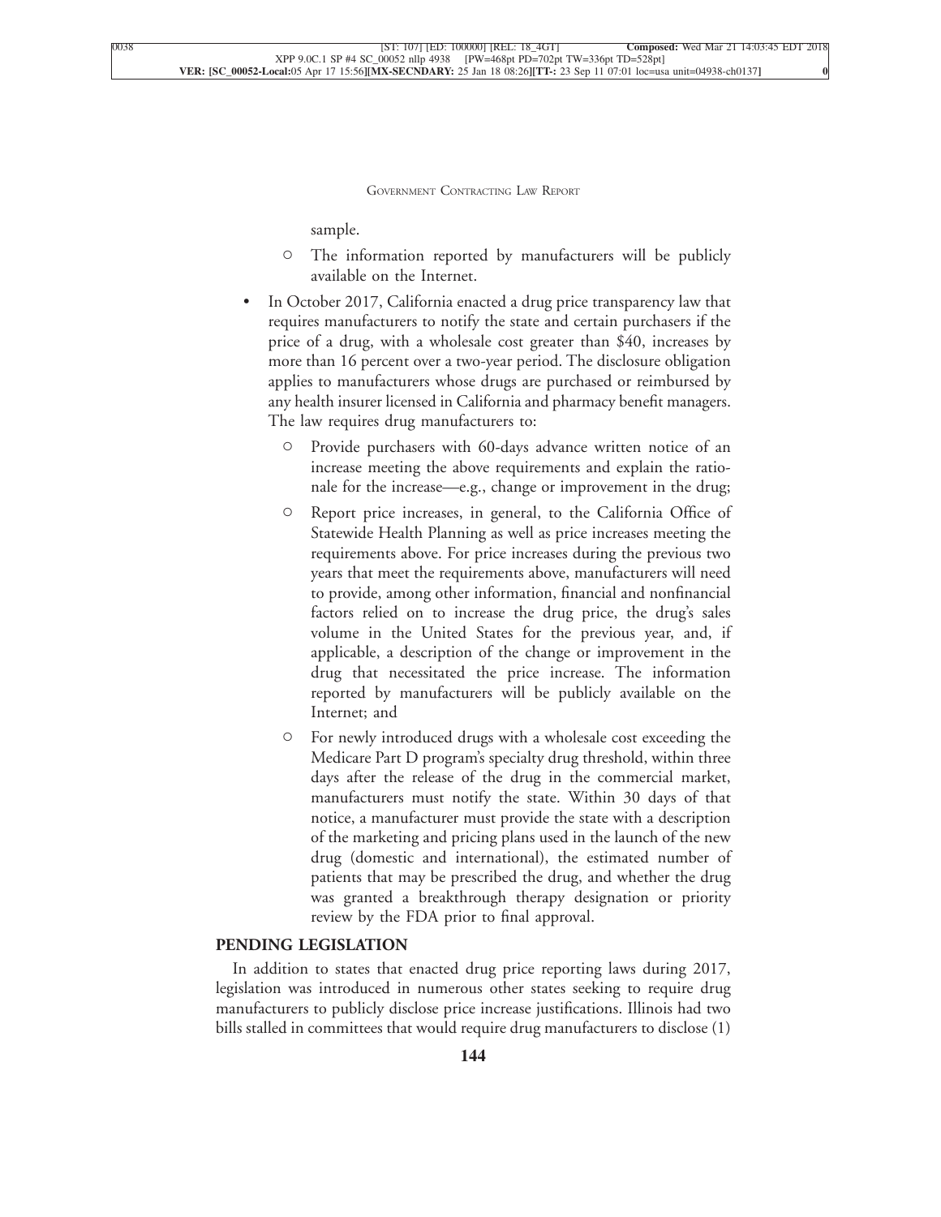[sample.](xpath-> core:para,  core:listitem/core:para,  para-list,  style_01)

- [C](xpath-> core:enum,  core:listitem/core:enum,  para-list,  style_01) [The information reported by manufacturers will be publicly](xpath-> core:para,  core:listitem/core:para,  para-list,  style_01) [available on the Internet.](xpath-> core:para,  core:listitem/core:para,  para-list,  style_01)
- [•](xpath-> core:enum,  core:listitem/core:enum,  para-list,  style_01) [In October 2017, California enacted a drug price transparency law that](xpath-> core:para,  core:listitem/core:para,  para-list,  style_01) [requires manufacturers to notify the state and certain purchasers if the](xpath-> core:para,  core:listitem/core:para,  para-list,  style_01) [price of a drug, with a wholesale cost greater than \\$40, increases by](xpath-> core:para,  core:listitem/core:para,  para-list,  style_01) [more than 16 percent over a two-year period. The disclosure obligation](xpath-> core:para,  core:listitem/core:para,  para-list,  style_01) [applies to manufacturers whose drugs are purchased or reimbursed by](xpath-> core:para,  core:listitem/core:para,  para-list,  style_01) [any health insurer licensed in California and pharmacy benefit managers.](xpath-> core:para,  core:listitem/core:para,  para-list,  style_01) [The law requires drug manufacturers to:](xpath-> core:para,  core:listitem/core:para,  para-list,  style_01)
	- [C](xpath-> core:enum,  core:listitem/core:enum,  para-list,  style_01) [Provide purchasers with 60-days advance written notice of an](xpath-> core:para,  core:listitem/core:para,  para-list,  style_01) [increase meeting the above requirements and explain the ratio](xpath-> core:para,  core:listitem/core:para,  para-list,  style_01)[nale for the increase—e.g., change or improvement in the drug;](xpath-> core:para,  core:listitem/core:para,  para-list,  style_01)
	- [C](xpath-> core:enum,  core:listitem/core:enum,  para-list,  style_01) [Report price increases, in general, to the California Office of](xpath-> core:para,  core:listitem/core:para,  para-list,  style_01) [Statewide Health Planning as well as price increases meeting the](xpath-> core:para,  core:listitem/core:para,  para-list,  style_01) [requirements above. For price increases during the previous two](xpath-> core:para,  core:listitem/core:para,  para-list,  style_01) [years that meet the requirements above, manufacturers will need](xpath-> core:para,  core:listitem/core:para,  para-list,  style_01) [to provide, among other information, financial and nonfinancial](xpath-> core:para,  core:listitem/core:para,  para-list,  style_01) [factors relied on to increase the drug price, the drug's sales](xpath-> core:para,  core:listitem/core:para,  para-list,  style_01) [volume in the United States for the previous year, and, if](xpath-> core:para,  core:listitem/core:para,  para-list,  style_01) [applicable, a description of the change or improvement in the](xpath-> core:para,  core:listitem/core:para,  para-list,  style_01) [drug that necessitated the price increase. The information](xpath-> core:para,  core:listitem/core:para,  para-list,  style_01) [reported by manufacturers will be publicly available on the](xpath-> core:para,  core:listitem/core:para,  para-list,  style_01) [Internet; and](xpath-> core:para,  core:listitem/core:para,  para-list,  style_01)
	- [C](xpath-> core:enum,  core:listitem/core:enum,  para-list,  style_01) [For newly introduced drugs with a wholesale cost exceeding the](xpath-> core:para,  core:listitem/core:para,  para-list,  style_01) [Medicare Part D program's specialty drug threshold, within three](xpath-> core:para,  core:listitem/core:para,  para-list,  style_01) [days after the release of the drug in the commercial market,](xpath-> core:para,  core:listitem/core:para,  para-list,  style_01) [manufacturers must notify the state. Within 30 days of that](xpath-> core:para,  core:listitem/core:para,  para-list,  style_01) [notice, a manufacturer must provide the state with a description](xpath-> core:para,  core:listitem/core:para,  para-list,  style_01) [of the marketing and pricing plans used in the launch of the new](xpath-> core:para,  core:listitem/core:para,  para-list,  style_01) [drug \(domestic and international\), the estimated number of](xpath-> core:para,  core:listitem/core:para,  para-list,  style_01) [patients that may be prescribed the drug, and whether the drug](xpath-> core:para,  core:listitem/core:para,  para-list,  style_01) [was granted a breakthrough therapy designation or priority](xpath-> core:para,  core:listitem/core:para,  para-list,  style_01) [review by the FDA prior to final approval.](xpath-> core:para,  core:listitem/core:para,  para-list,  style_01)

## **[PENDING LEGISLATION](xpath-> core:generic-hd,  Default,  core_generic_hd,  style_01)**

[In addition to states that enacted drug price reporting laws during 2017,](xpath-> core:para,  Default,  para-list,  style_01) [legislation was introduced in numerous other states seeking to require drug](xpath-> core:para,  Default,  para-list,  style_01) [manufacturers to publicly disclose price increase justifications. Illinois had two](xpath-> core:para,  Default,  para-list,  style_01) [bills stalled in committees that would require drug manufacturers to disclose \(1\)](xpath-> core:para,  Default,  para-list,  style_01)